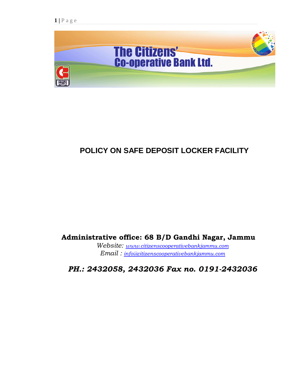

# **POLICY ON SAFE DEPOSIT LOCKER FACILITY**

 **Administrative office: 68 B/D Gandhi Nagar, Jammu**

 *Website: [www.citizenscooperativebankjammu.com](http://www.citizenscooperativebankjammu.com/) Email : [info@citizenscooperativebankjammu.com](mailto:info@citizenscooperativebankjammu.com)*

 *PH.: 2432058, 2432036 Fax no. 0191-2432036*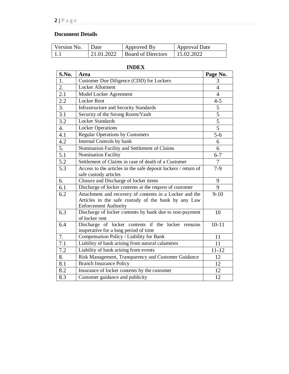# **Document Details**

| Version No. Date |            | Approved By               | Approval Date |
|------------------|------------|---------------------------|---------------|
|                  | 21.01.2022 | <b>Board of Directors</b> | 15.02.2022    |

# **INDEX**

| S.No.            | Area                                                                      | Page No.        |
|------------------|---------------------------------------------------------------------------|-----------------|
| 1.               | Customer Due Diligence (CDD) for Lockers                                  | 3               |
| 2.               | Locker Allotment                                                          | $\overline{4}$  |
| 2.1              | Model Locker Agreement                                                    | $\overline{4}$  |
| 2.2              | <b>Locker Rent</b>                                                        | $4 - 5$         |
| 3.               | <b>Infrastructure and Security Standards</b>                              | 5               |
| 3.1              | Security of the Strong Room/Vault                                         | $\overline{5}$  |
| 3.2              | <b>Locker Standards</b>                                                   | 5               |
| 4.               | <b>Locker Operations</b>                                                  | $\overline{5}$  |
| 4.1              | <b>Regular Operations by Customers</b>                                    | $5 - 6$         |
| 4.2              | Internal Controls by bank                                                 | 6               |
| 5.               | Nomination Facility and Settlement of Claims                              | 6               |
| 5.1              | <b>Nomination Facility</b>                                                | $6 - 7$         |
| $\overline{5.2}$ | Settlement of Claims in case of death of a Customer                       | $\overline{7}$  |
| 5.3              | Access to the articles in the safe deposit lockers / return of            | $7-9$           |
|                  | safe custody articles                                                     |                 |
| 6.               | Closure and Discharge of locker items                                     | 9               |
| 6.1              | Discharge of locker contents at the request of customer                   | 9               |
| 6.2              | Attachment and recovery of contents in a Locker and the                   | $9-10$          |
|                  | Articles in the safe custody of the bank by any Law                       |                 |
|                  | <b>Enforcement Authority</b>                                              |                 |
| 6.3              | Discharge of locker contents by bank due to non-payment<br>of locker rent | 10              |
| 6.4              | Discharge of locker contents if the locker remains                        | $10 - 11$       |
|                  | inoperative for a long period of time                                     |                 |
| 7.               | Compensation Policy / Liability for Bank                                  | 11              |
| $\overline{7.1}$ | Liability of bank arising from natural calamities                         | $\overline{11}$ |
| 7.2              | Liability of bank arising from events                                     | $11 - 12$       |
| 8.               | Risk Management, Transparency and Customer Guidance                       | 12              |
| 8.1              | <b>Branch Insurance Policy</b>                                            | 12              |
| 8.2              | Insurance of locker contents by the customer                              | 12              |
| 8.3              | Customer guidance and publicity                                           | 12              |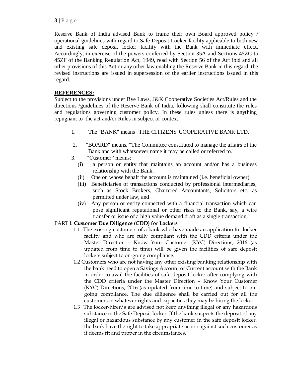Reserve Bank of India advised Bank to frame their own Board approved policy / operational guidelines with regard to Safe Deposit Locker facility applicable to both new and existing safe deposit locker facility with the Bank with immediate effect. Accordingly, in exercise of the powers conferred by Section 35A and Sections 45ZC to 45ZF of the Banking Regulation Act, 1949, read with Section 56 of the Act ibid and all other provisions of this Act or any other law enabling the Reserve Bank in this regard, the revised instructions are issued in supersession of the earlier instructions issued in this regard.

# **REFERENCES:**

Subject to the provisions under Bye Laws, J&K Cooperative Societies Act/Rules and the directions /guidelines of the Reserve Bank of India, following shall constitute the rules and regulations governing customer policy. In these rules unless there is anything repugnant to the act and/or Rules in subject or context.

- 1. The "BANK" means "THE CITIZENS' COOPERATIVE BANK LTD."
- 2. "BOARD" means, "The Committee constituted to manage the affairs of the Bank and with whatsoever name it may be called or referred to.
- 3. "Customer" means:
	- (i) a person or entity that maintains an account and/or has a business relationship with the Bank.
	- (ii) One on whose behalf the account is maintained (i.e. beneficial owner)
	- (iii) Beneficiaries of transactions conducted by professional intermediaries, such as Stock Brokers, Chartered Accountants, Solicitors etc. as permitted under law, and
	- (iv) Any person or entity connected with a financial transaction which can pose significant reputational or other risks to the Bank, say, a wire transfer or issue of a high value demand draft as a single transaction.

# PART I: **Customer Due Diligence (CDD) for Lockers**

- 1.1 The existing customers of a bank who have made an application for locker facility and who are fully compliant with the CDD criteria under the Master Direction – Know Your Customer (KYC) Directions, 2016 (as updated from time to time) will be given the facilities of safe deposit lockers subject to on-going compliance.
- 1.2 Customers who are not having any other existing banking relationship with the bank need to open a Savings Account or Current account with the Bank in order to avail the facilities of safe deposit locker after complying with the CDD criteria under the Master Direction – Know Your Customer (KYC) Directions, 2016 (as updated from time to time) and subject to ongoing compliance. The due diligence shall be carried out for all the customers in whatever rights and capacities they may be hiring the locker.
- 1.3 The locker-hirer/s are advised not keep anything illegal or any hazardous substance in the Safe Deposit locker. If the bank suspects the deposit of any illegal or hazardous substance by any customer in the safe deposit locker, the bank have the right to take appropriate action against such customer as it deems fit and proper in the circumstances.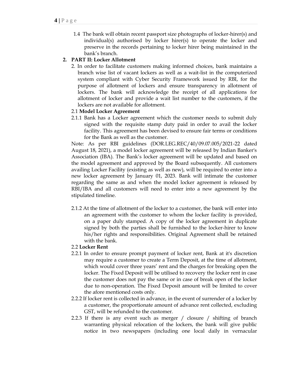1.4 The bank will obtain recent passport size photographs of locker-hirer(s) and individual(s) authorised by locker hirer(s) to operate the locker and preserve in the records pertaining to locker hirer being maintained in the bank's branch.

# **2. PART II: Locker Allotment**

2. In order to facilitate customers making informed choices, bank maintains a branch wise list of vacant lockers as well as a wait-list in the computerized system compliant with Cyber Security Framework issued by RBI, for the purpose of allotment of lockers and ensure transparency in allotment of lockers. The bank will acknowledge the receipt of all applications for allotment of locker and provide a wait list number to the customers, if the lockers are not available for allotment.

# 2.1 **Model Locker Agreement**

2.1.1 Bank has a Locker agreement which the customer needs to submit duly signed with the requisite stamp duty paid in order to avail the locker facility. This agreement has been devised to ensure fair terms or conditions for the Bank as well as the customer.

Note: As per RBI guidelines (DOR.LEG.REC/40/09.07.005/2021-22 dated August 18, 2021), a model locker agreement will be released by Indian Banker's Association (IBA). The Bank's locker agreement will be updated and based on the model agreement and approved by the Board subsequently. All customers availing Locker Facility (existing as well as new), will be required to enter into a new locker agreement by January 01, 2023. Bank will intimate the customer regarding the same as and when the model locker agreement is released by RBI/IBA and all customers will need to enter into a new agreement by the stipulated timeline.

2.1.2 At the time of allotment of the locker to a customer, the bank will enter into an agreement with the customer to whom the locker facility is provided, on a paper duly stamped. A copy of the locker agreement in duplicate signed by both the parties shall be furnished to the locker-hirer to know his/her rights and responsibilities. Original Agreement shall be retained with the bank.

# 2.2 **Locker Rent**

- 2.2.1 In order to ensure prompt payment of locker rent, Bank at it's discretion may require a customer to create a Term Deposit, at the time of allotment, which would cover three years' rent and the charges for breaking open the locker. The Fixed Deposit will be utilised to recovery the locker rent in case the customer does not pay the same or in case of break open of the locker due to non-operation. The Fixed Deposit amount will be limited to cover the afore mentioned costs only.
- 2.2.2 If locker rent is collected in advance, in the event of surrender of a locker by a customer, the proportionate amount of advance rent collected, excluding GST, will be refunded to the customer.
- 2.2.3 If there is any event such as merger / closure / shifting of branch warranting physical relocation of the lockers, the bank will give public notice in two newspapers (including one local daily in vernacular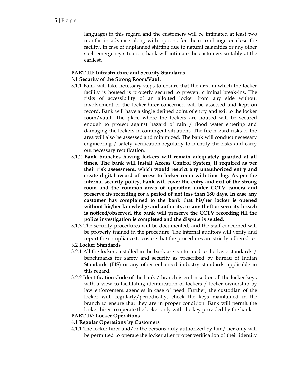language) in this regard and the customers will be intimated at least two months in advance along with options for them to change or close the facility. In case of unplanned shifting due to natural calamities or any other such emergency situation, bank will intimate the customers suitably at the earliest.

## **PART III: Infrastructure and Security Standards**

# 3.1 **Security of the Strong Room/Vault**

- 3.1.1 Bank will take necessary steps to ensure that the area in which the locker facility is housed is properly secured to prevent criminal break-ins. The risks of accessibility of an allotted locker from any side without involvement of the locker-hirer concerned will be assessed and kept on record. Bank will have a single defined point of entry and exit to the locker room/vault. The place where the lockers are housed will be secured enough to protect against hazard of rain / flood water entering and damaging the lockers in contingent situations. The fire hazard risks of the area will also be assessed and minimized. The bank will conduct necessary engineering / safety verification regularly to identify the risks and carry out necessary rectification.
- 3.1.2 **Bank branches having lockers will remain adequately guarded at all times. The bank will install Access Control System, if required as per their risk assessment, which would restrict any unauthorized entry and create digital record of access to locker room with time log. As per the internal security policy, bank will cover the entry and exit of the strong room and the common areas of operation under CCTV camera and preserve its recording for a period of not less than 180 days. In case any customer has complained to the bank that his/her locker is opened without his/her knowledge and authority, or any theft or security breach is noticed/observed, the bank will preserve the CCTV recording till the police investigation is completed and the dispute is settled.**
- 3.1.3 The security procedures will be documented, and the staff concerned will be properly trained in the procedure. The internal auditors will verify and report the compliance to ensure that the procedures are strictly adhered to.

# 3.2 **Locker Standards**

- 3.2.1 All the lockers installed in the bank are conformed to the basic standards / benchmarks for safety and security as prescribed by Bureau of Indian Standards (BIS) or any other enhanced industry standards applicable in this regard.
- 3.2.2 Identification Code of the bank / branch is embossed on all the locker keys with a view to facilitating identification of lockers / locker ownership by law enforcement agencies in case of need. Further, the custodian of the locker will, regularly/periodically, check the keys maintained in the branch to ensure that they are in proper condition. Bank will permit the locker-hirer to operate the locker only with the key provided by the bank.

# **PART IV: Locker Operations**

# 4.1 **Regular Operations by Customers**

4.1.1 The locker hirer and/or the persons duly authorized by him/ her only will be permitted to operate the locker after proper verification of their identity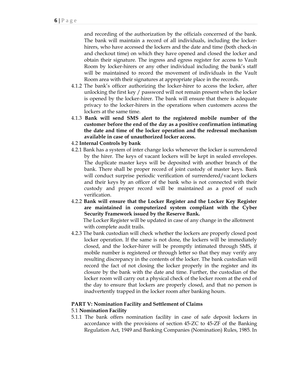and recording of the authorization by the officials concerned of the bank. The bank will maintain a record of all individuals, including the lockerhirers, who have accessed the lockers and the date and time (both check-in and checkout time) on which they have opened and closed the locker and obtain their signature. The ingress and egress register for access to Vault Room by locker-hirers or any other individual including the bank's staff will be maintained to record the movement of individuals in the Vault Room area with their signatures at appropriate place in the records.

- 4.1.2 The bank's officer authorizing the locker-hirer to access the locker, after unlocking the first key / password will not remain present when the locker is opened by the locker-hirer. The bank will ensure that there is adequate privacy to the locker-hirers in the operations when customers access the lockers at the same time.
- 4.1.3 **Bank will send SMS alert to the registered mobile number of the customer before the end of the day as a positive confirmation intimating the date and time of the locker operation and the redressal mechanism available in case of unauthorized locker access.**

## 4.2 **Internal Controls by bank**

- 4.2.1 Bank has a system of inter change locks whenever the locker is surrendered by the hirer. The keys of vacant lockers will be kept in sealed envelopes. The duplicate master keys will be deposited with another branch of the bank. There shall be proper record of joint custody of master keys. Bank will conduct surprise periodic verification of surrendered/vacant lockers and their keys by an officer of the bank who is not connected with their custody and proper record will be maintained as a proof of such verification.
- 4.2.2 **Bank will ensure that the Locker Register and the Locker Key Register are maintained in computerized system compliant with the Cyber Security Framework issued by the Reserve Bank.**

 The Locker Register will be updated in case of any change in the allotment with complete audit trails.

4.2.3 The bank custodian will check whether the lockers are properly closed post locker operation. If the same is not done, the lockers will be immediately closed, and the locker-hirer will be promptly intimated through SMS, if mobile number is registered or through letter so that they may verify any resulting discrepancy in the contents of the locker. The bank custodian will record the fact of not closing the locker properly in the register and its closure by the bank with the date and time. Further, the custodian of the locker room will carry out a physical check of the locker room at the end of the day to ensure that lockers are properly closed, and that no person is inadvertently trapped in the locker room after banking hours.

#### **PART V: Nomination Facility and Settlement of Claims**

#### 5.1 **Nomination Facility**

5.1.1 The bank offers nomination facility in case of safe deposit lockers in accordance with the provisions of section 45-ZC to 45-ZF of the Banking Regulation Act, 1949 and Banking Companies (Nomination) Rules, 1985. In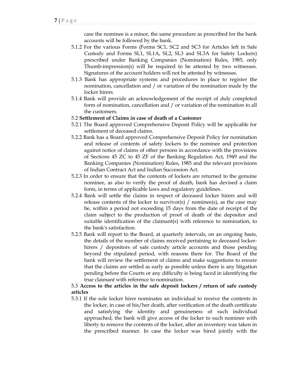case the nominee is a minor, the same procedure as prescribed for the bank accounts will be followed by the bank.

- 5.1.2 For the various Forms (Forms SC1, SC2 and SC3 for Articles left in Safe Custody and Forms SL1, SL1A, SL2, SL3 and SL3A for Safety Lockers) prescribed under Banking Companies (Nomination) Rules, 1985, only Thumb-impression(s) will be required to be attested by two witnesses. Signatures of the account holders will not be attested by witnesses.
- 5.1.3 Bank has appropriate systems and procedures in place to register the nomination, cancellation and / or variation of the nomination made by the locker hirers.
- 5.1.4 Bank will provide an acknowledgement of the receipt of duly completed form of nomination, cancellation and / or variation of the nomination to all the customers.

## 5.2 **Settlement of Claims in case of death of a Customer**

- 5.2.1 The Board approved Comprehensive Deposit Policy will be applicable for settlement of deceased claims.
- 5.2.2 Bank has a Board approved Comprehensive Deposit Policy for nomination and release of contents of safety lockers to the nominee and protection against notice of claims of other persons in accordance with the provisions of Sections 45 ZC to 45 ZF of the Banking Regulation Act, 1949 and the Banking Companies (Nomination) Rules, 1985 and the relevant provisions of Indian Contract Act and Indian Succession Act.
- 5.2.3 In order to ensure that the contents of lockers are returned to the genuine nominee, as also to verify the proof of death, bank has devised a claim form, in terms of applicable laws and regulatory guidelines.
- 5.2.4 Bank will settle the claims in respect of deceased locker hirers and will release contents of the locker to survivor(s)  $/$  nominee(s), as the case may be, within a period not exceeding 15 days from the date of receipt of the claim subject to the production of proof of death of the depositor and suitable identification of the claimant(s) with reference to nomination, to the bank's satisfaction.
- 5.2.5 Bank will report to the Board, at quarterly intervals, on an ongoing basis, the details of the number of claims received pertaining to deceased lockerhirers / depositors of safe custody article accounts and those pending beyond the stipulated period, with reasons there for. The Board of the bank will review the settlement of claims and make suggestions to ensure that the claims are settled as early as possible unless there is any litigation pending before the Courts or any difficulty is being faced in identifying the true claimant with reference to nomination.

# 5.3 **Access to the articles in the safe deposit lockers / return of safe custody articles**

5.3.1 If the sole locker hirer nominates an individual to receive the contents in the locker, in case of his/her death, after verification of the death certificate and satisfying the identity and genuineness of such individual approached, the bank will give access of the locker to such nominee with liberty to remove the contents of the locker, after an inventory was taken in the prescribed manner. In case the locker was hired jointly with the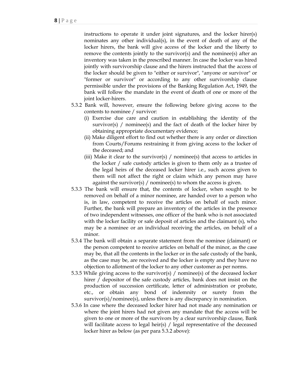instructions to operate it under joint signatures, and the locker hirer(s) nominates any other individual(s), in the event of death of any of the locker hirers, the bank will give access of the locker and the liberty to remove the contents jointly to the survivor(s) and the nominee(s) after an inventory was taken in the prescribed manner. In case the locker was hired jointly with survivorship clause and the hirers instructed that the access of the locker should be given to "either or survivor", "anyone or survivor" or "former or survivor" or according to any other survivorship clause permissible under the provisions of the Banking Regulation Act, 1949, the bank will follow the mandate in the event of death of one or more of the joint locker-hirers.

- 5.3.2 Bank will, however, ensure the following before giving access to the contents to nominee / survivor:
	- (i) Exercise due care and caution in establishing the identity of the survivor(s) / nominee(s) and the fact of death of the locker hirer by obtaining appropriate documentary evidence;
	- (ii) Make diligent effort to find out whether there is any order or direction from Courts/Forums restraining it from giving access to the locker of the deceased; and
	- (iii) Make it clear to the survivor(s) / nominee(s) that access to articles in the locker / safe custody articles is given to them only as a trustee of the legal heirs of the deceased locker hirer i.e., such access given to them will not affect the right or claim which any person may have against the survivor(s) / nominee(s) to whom the access is given.
- 5.3.3 The bank will ensure that, the contents of locker, when sought to be removed on behalf of a minor nominee, are handed over to a person who is, in law, competent to receive the articles on behalf of such minor. Further, the bank will prepare an inventory of the articles in the presence of two independent witnesses, one officer of the bank who is not associated with the locker facility or safe deposit of articles and the claimant (s), who may be a nominee or an individual receiving the articles, on behalf of a minor.
- 5.3.4 The bank will obtain a separate statement from the nominee (claimant) or the person competent to receive articles on behalf of the minor, as the case may be, that all the contents in the locker or in the safe custody of the bank, as the case may be, are received and the locker is empty and they have no objection to allotment of the locker to any other customer as per norms.
- 5.3.5 While giving access to the survivor(s) / nominee(s) of the deceased locker hirer / depositor of the safe custody articles, bank does not insist on the production of succession certificate, letter of administration or probate, etc., or obtain any bond of indemnity or surety from the survivor(s)/nominee(s), unless there is any discrepancy in nomination.
- 5.3.6 In case where the deceased locker hirer had not made any nomination or where the joint hirers had not given any mandate that the access will be given to one or more of the survivors by a clear survivorship clause, Bank will facilitate access to legal heir(s) / legal representative of the deceased locker hirer as below (as per para 5.3.2 above):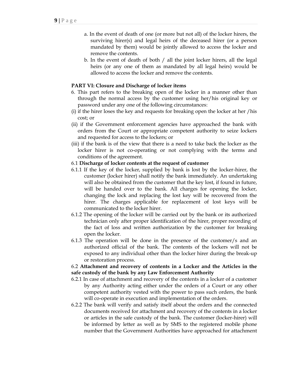- a. In the event of death of one (or more but not all) of the locker hirers, the surviving hirer(s) and legal heirs of the deceased hirer (or a person mandated by them) would be jointly allowed to access the locker and remove the contents.
- b. In the event of death of both / all the joint locker hirers, all the legal heirs (or any one of them as mandated by all legal heirs) would be allowed to access the locker and remove the contents.

#### **PART VI: Closure and Discharge of locker items**

- 6. This part refers to the breaking open of the locker in a manner other than through the normal access by the customer using her/his original key or password under any one of the following circumstances:
- (i) if the hirer loses the key and requests for breaking open the locker at her /his cost; or
- (ii) if the Government enforcement agencies have approached the bank with orders from the Court or appropriate competent authority to seize lockers and requested for access to the lockers; or
- (iii) if the bank is of the view that there is a need to take back the locker as the locker hirer is not co-operating or not complying with the terms and conditions of the agreement.

#### 6.1 **Discharge of locker contents at the request of customer**

- 6.1.1 If the key of the locker, supplied by bank is lost by the locker-hirer, the customer (locker hirer) shall notify the bank immediately. An undertaking will also be obtained from the customer that the key lost, if found in future, will be handed over to the bank. All charges for opening the locker, changing the lock and replacing the lost key will be recovered from the hirer. The charges applicable for replacement of lost keys will be communicated to the locker hirer.
- 6.1.2 The opening of the locker will be carried out by the bank or its authorized technician only after proper identification of the hirer, proper recording of the fact of loss and written authorization by the customer for breaking open the locker.
- 6.1.3 The operation will be done in the presence of the customer/s and an authorized official of the bank. The contents of the lockers will not be exposed to any individual other than the locker hirer during the break-up or restoration process.

#### 6.2 **Attachment and recovery of contents in a Locker and the Articles in the safe custody of the bank by any Law Enforcement Authority**

- 6.2.1 In case of attachment and recovery of the contents in a locker of a customer by any Authority acting either under the orders of a Court or any other competent authority vested with the power to pass such orders, the bank will co-operate in execution and implementation of the orders.
- 6.2.2 The bank will verify and satisfy itself about the orders and the connected documents received for attachment and recovery of the contents in a locker or articles in the safe custody of the bank. The customer (locker-hirer) will be informed by letter as well as by SMS to the registered mobile phone number that the Government Authorities have approached for attachment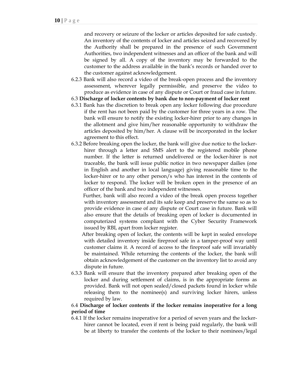and recovery or seizure of the locker or articles deposited for safe custody. An inventory of the contents of locker and articles seized and recovered by the Authority shall be prepared in the presence of such Government Authorities, two independent witnesses and an officer of the bank and will be signed by all. A copy of the inventory may be forwarded to the customer to the address available in the bank's records or handed over to the customer against acknowledgement.

- 6.2.3 Bank will also record a video of the break-open process and the inventory assessment, wherever legally permissible, and preserve the video to produce as evidence in case of any dispute or Court or fraud case in future.
- 6.3 **Discharge of locker contents by bank due to non-payment of locker rent**
- 6.3.1 Bank has the discretion to break open any locker following due procedure if the rent has not been paid by the customer for three years in a row. The bank will ensure to notify the existing locker-hirer prior to any changes in the allotment and give him/her reasonable opportunity to withdraw the articles deposited by him/her. A clause will be incorporated in the locker agreement to this effect.
- 6.3.2 Before breaking open the locker, the bank will give due notice to the lockerhirer through a letter and SMS alert to the registered mobile phone number. If the letter is returned undelivered or the locker-hirer is not traceable, the bank will issue public notice in two newspaper dailies (one in English and another in local language) giving reasonable time to the locker-hirer or to any other person/s who has interest in the contents of locker to respond. The locker will be broken open in the presence of an officer of the bank and two independent witnesses.

 Further, bank will also record a video of the break open process together with inventory assessment and its safe keep and preserve the same so as to provide evidence in case of any dispute or Court case in future. Bank will also ensure that the details of breaking open of locker is documented in computerized systems compliant with the Cyber Security Framework issued by RBI, apart from locker register.

 After breaking open of locker, the contents will be kept in sealed envelope with detailed inventory inside fireproof safe in a tamper-proof way until customer claims it. A record of access to the fireproof safe will invariably be maintained. While returning the contents of the locker, the bank will obtain acknowledgement of the customer on the inventory list to avoid any dispute in future.

6.3.3 Bank will ensure that the inventory prepared after breaking open of the locker and during settlement of claims, is in the appropriate forms as provided. Bank will not open sealed/closed packets found in locker while releasing them to the nominee(s) and surviving locker hirers, unless required by law.

## 6.4 **Discharge of locker contents if the locker remains inoperative for a long period of time**

6.4.1 If the locker remains inoperative for a period of seven years and the lockerhirer cannot be located, even if rent is being paid regularly, the bank will be at liberty to transfer the contents of the locker to their nominees/legal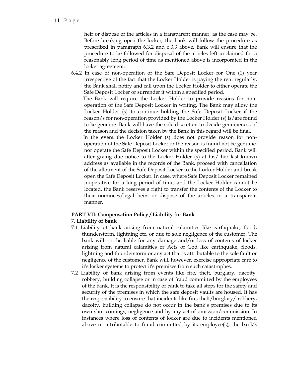heir or dispose of the articles in a transparent manner, as the case may be. Before breaking open the locker, the bank will follow the procedure as prescribed in paragraph 6.3.2 and 6.3.3 above. Bank will ensure that the procedure to be followed for disposal of the articles left unclaimed for a reasonably long period of time as mentioned above is incorporated in the locker agreement.

6.4.2 In case of non-operation of the Safe Deposit Locker for One (1) year irrespective of the fact that the Locker Holder is paying the rent regularly, the Bank shall notify and call upon the Locker Holder to either operate the Safe Deposit Locker or surrender it within a specified period.

 The Bank will require the Locker Holder to provide reasons for nonoperation of the Safe Deposit Locker in writing. The Bank may allow the Locker Holder (s) to continue holding the Safe Deposit Locker if the reason/s for non-operation provided by the Locker Holder (s) is/are found to be genuine. Bank will have the sole discretion to decide genuineness of the reason and the decision taken by the Bank in this regard will be final.

 In the event the Locker Holder (s) does not provide reason for nonoperation of the Safe Deposit Locker or the reason is found not be genuine, nor operate the Safe Deposit Locker within the specified period, Bank will after giving due notice to the Locker Holder (s) at his/ her last known address as available in the records of the Bank, proceed with cancellation of the allotment of the Safe Deposit Locker to the Locker Holder and break open the Safe Deposit Locker. In case, where Safe Deposit Locker remained inoperative for a long period of time, and the Locker Holder cannot be located, the Bank reserves a right to transfer the contents of the Locker to their nominees/legal heirs or dispose of the articles in a transparent manner.

#### **PART VII: Compensation Policy / Liability for Bank**

# 7. **Liability of bank**

- 7.1 Liability of bank arising from natural calamities like earthquake, flood, thunderstorm, lightning etc. or due to sole negligence of the customer. The bank will not be liable for any damage and/or loss of contents of locker arising from natural calamities or Acts of God like earthquake, floods, lightning and thunderstorm or any act that is attributable to the sole fault or negligence of the customer. Bank will, however, exercise appropriate care to it's locker systems to protect it's premises from such catastrophes.
- 7.2 Liability of bank arising from events like fire, theft, burglary, dacoity, robbery, building collapse or in case of fraud committed by the employees of the bank. It is the responsibility of bank to take all steps for the safety and security of the premises in which the safe deposit vaults are housed. It has the responsibility to ensure that incidents like fire, theft/burglary/ robbery, dacoity, building collapse do not occur in the bank's premises due to its own shortcomings, negligence and by any act of omission/commission. In instances where loss of contents of locker are due to incidents mentioned above or attributable to fraud committed by its employee(s), the bank's